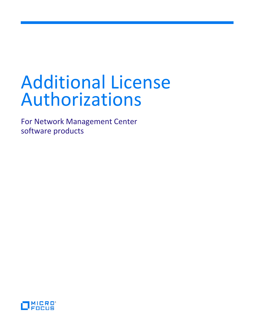For Network Management Center software products

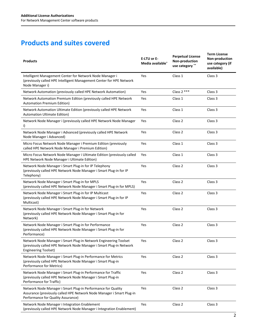# **Products and suites covered**

| <b>Products</b>                                                                                                                                                             | E-LTU or E-<br>Media available <sup>*</sup> | <b>Perpetual License</b><br>Non-production<br>use category ** | <b>Term License</b><br>Non-production<br>use category (if<br>available) |
|-----------------------------------------------------------------------------------------------------------------------------------------------------------------------------|---------------------------------------------|---------------------------------------------------------------|-------------------------------------------------------------------------|
| Intelligent Management Center for Network Node Manager i<br>(previously called HPE Intelligent Management Center for HPE Network<br>Node Manager i)                         | Yes                                         | Class 1                                                       | Class 3                                                                 |
| Network Automation (previously called HPE Network Automation)                                                                                                               | Yes                                         | Class 2 ***                                                   | Class 3                                                                 |
| Network Automation Premium Edition (previously called HPE Network<br><b>Automation Premium Edition)</b>                                                                     | Yes                                         | Class 1                                                       | Class <sub>3</sub>                                                      |
| Network Automation Ultimate Edition (previously called HPE Network<br><b>Automation Ultimate Edition)</b>                                                                   | Yes                                         | Class 1                                                       | Class 3                                                                 |
| Network Node Manager i (previously called HPE Network Node Manager<br>i)                                                                                                    | Yes                                         | Class 2                                                       | Class 3                                                                 |
| Network Node Manager i Advanced (previously called HPE Network<br>Node Manager i Advanced)                                                                                  | Yes                                         | Class 2                                                       | Class 3                                                                 |
| Micro Focus Network Node Manager i Premium Edition (previously<br>called HPE Network Node Manager i Premium Edition)                                                        | Yes                                         | Class 1                                                       | Class 3                                                                 |
| Micro Focus Network Node Manager i Ultimate Edition (previously called<br>HPE Network Node Manager i Ultimate Edition)                                                      | Yes                                         | Class 1                                                       | Class 3                                                                 |
| Network Node Manager i Smart Plug-in for IP Telephony<br>(previously called HPE Network Node Manager i Smart Plug-in for IP<br>Telephony)                                   | Yes                                         | Class <sub>2</sub>                                            | Class 3                                                                 |
| Network Node Manager i Smart Plug-in for MPLS<br>(previously called HPE Network Node Manager i Smart Plug-in for MPLS)                                                      | Yes                                         | Class <sub>2</sub>                                            | Class 3                                                                 |
| Network Node Manager i Smart Plug-in for IP Multicast<br>(previously called HPE Network Node Manager i Smart Plug-in for IP<br>Multicast)                                   | Yes                                         | Class 2                                                       | Class 3                                                                 |
| Network Node Manager i Smart Plug-in for Network<br>(previously called HPE Network Node Manager i Smart Plug-in for<br>Network)                                             | Yes                                         | Class 2                                                       | Class 3                                                                 |
| Network Node Manager i Smart Plug-in for Performance<br>(previously called HPE Network Node Manager i Smart Plug-in for<br>Performance)                                     | Yes                                         | Class <sub>2</sub>                                            | Class 3                                                                 |
| Network Node Manager i Smart Plug-in Network Engineering Toolset<br>(previously called HPE Network Node Manager i Smart Plug-in Network<br><b>Engineering Toolset)</b>      | Yes                                         | Class 2                                                       | Class 3                                                                 |
| Network Node Manager i Smart Plug-in Performance for Metrics<br>(previously called HPE Network Node Manager i Smart Plug-in<br>Performance for Metrics)                     | Yes                                         | Class 2                                                       | Class 3                                                                 |
| Network Node Manager i Smart Plug-in Performance for Traffic<br>(previously called HPE Network Node Manager i Smart Plug-in<br>Performance for Traffic)                     | Yes                                         | Class 2                                                       | Class 3                                                                 |
| Network Node Manager i Smart Plug-in Performance for Quality<br>Assurance (previously called HPE Network Node Manager i Smart Plug-in<br>Performance for Quality Assurance) | Yes                                         | Class 2                                                       | Class 3                                                                 |
| Network Node Manager i Integration Enablement<br>(previously called HPE Network Node Manager i Integration Enablement)                                                      | Yes                                         | Class 2                                                       | Class 3                                                                 |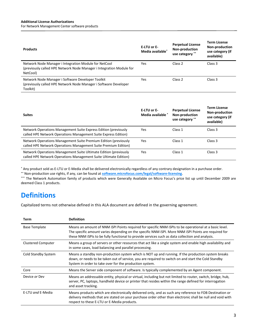For Network Management Center software products

| <b>Products</b>                                                                                                                           | E-LTU or E-<br>Media available* | <b>Perpetual License</b><br><b>Non-production</b><br>use category ** | <b>Term License</b><br><b>Non-production</b><br>use category (if<br>available) |
|-------------------------------------------------------------------------------------------------------------------------------------------|---------------------------------|----------------------------------------------------------------------|--------------------------------------------------------------------------------|
| Network Node Manager i Integration Module for NetCool<br>(previously called HPE Network Node Manager i Integration Module for<br>NetCool) | Yes                             | Class <sub>2</sub>                                                   | Class 3                                                                        |
| Network Node Manager i Software Developer Toolkit<br>(previously called HPE Network Node Manager i Software Developer<br>Toolkit)         | Yes                             | Class <sub>2</sub>                                                   | Class 3                                                                        |

| <b>Suites</b>                                                                                                                        | E-LTU or E-<br>Media available | <b>Perpetual License</b><br>Non-production<br>use category ** | <b>Term License</b><br>Non-production<br>use category (if<br>available) |
|--------------------------------------------------------------------------------------------------------------------------------------|--------------------------------|---------------------------------------------------------------|-------------------------------------------------------------------------|
| Network Operations Management Suite Express Edition (previously<br>called HPE Network Operations Management Suite Express Edition)   | Yes                            | Class 1                                                       | Class 3                                                                 |
| Network Operations Management Suite Premium Edition (previously<br>called HPE Network Operations Management Suite Premium Edition)   | Yes                            | Class 1                                                       | Class 3                                                                 |
| Network Operations Management Suite Ultimate Edition (previously<br>called HPE Network Operations Management Suite Ultimate Edition) | Yes                            | Class 1                                                       | Class 3                                                                 |

\* Any product sold as E-LTU or E-Media shall be delivered electronically regardless of any contrary designation in a purchase order.<br>\*\* Non-production use rights, if any, can be found at **software.microfocus.com/legal/soft** 

All The Network Automation family of products which were Generally Available on Micro Focus's price list up until December 2009 are deemed Class 1 products.

# **Definitions**

Capitalized terms not otherwise defined in this ALA document are defined in the governing agreement.

| Term                      | <b>Definition</b>                                                                                                                                                                                                                                                                                                  |
|---------------------------|--------------------------------------------------------------------------------------------------------------------------------------------------------------------------------------------------------------------------------------------------------------------------------------------------------------------|
| <b>Base Template</b>      | Means an amount of NNM ISPI Points required for specific NNM ISPIs to be operational at a basic level.<br>The specific amount varies depending on the specific NNM iSPI. More NNM iSPI Points are required for<br>these NNM iSPIs to be fully functional to provide services such as data collection and analysis. |
| <b>Clustered Computer</b> | Means a group of servers or other resources that act like a single system and enable high availability and<br>in some cases, load balancing and parallel processing.                                                                                                                                               |
| Cold Standby System       | Means a standby non-production system which is NOT up and running. If the production system breaks<br>down, or needs to be taken out of service, you are required to switch on and start the Cold Standby<br>System in order to take over for the production system.                                               |
| Core                      | Means the Server side component of software. Is typically complemented by an Agent component.                                                                                                                                                                                                                      |
| Device or Dev             | Means an addressable entity, physical or virtual, including but not limited to router, switch, bridge, hub,<br>server, PC, laptops, handheld device or printer that resides within the range defined for interrogation<br>and asset tracking.                                                                      |
| E-LTU and E-Media         | Means products which are electronically delivered only, and as such any reference to FOB Destination or<br>delivery methods that are stated on your purchase order other than electronic shall be null and void with<br>respect to these E-LTU or E-Media products.                                                |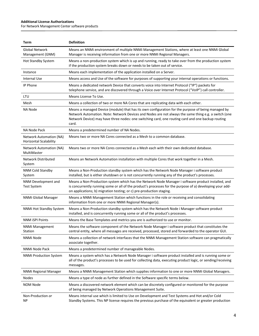For Network Management Center software products

| Term                                                            | <b>Definition</b>                                                                                                                                                                                                                                                                                                        |
|-----------------------------------------------------------------|--------------------------------------------------------------------------------------------------------------------------------------------------------------------------------------------------------------------------------------------------------------------------------------------------------------------------|
| Global Network<br>Management (GNM)                              | Means an NNMi environment of multiple NNMi Management Stations, where at least one NNMi Global<br>Manager is receiving information from one or more NNMi Regional Managers.                                                                                                                                              |
| <b>Hot Standby System</b>                                       | Means a non-production system which is up and running, ready to take over from the production system<br>if the production system breaks down or needs to be taken out of service.                                                                                                                                        |
| Instance                                                        | Means each implementation of the application installed on a Server.                                                                                                                                                                                                                                                      |
| Internal Use                                                    | Means access and Use of the software for purposes of supporting your internal operations or functions.                                                                                                                                                                                                                   |
| IP Phone                                                        | Means a dedicated network Device that converts voice into Internet Protocol ("IP") packets for<br>telephone service, and are discovered through a Voice over Internet Protocol ("VoIP") call controller.                                                                                                                 |
| LTU                                                             | Means License To Use.                                                                                                                                                                                                                                                                                                    |
| Mesh                                                            | Means a collection of two or more NA Cores that are replicating data with each other.                                                                                                                                                                                                                                    |
| NA Node                                                         | Means a managed Device (module) that has its own configuration for the purpose of being managed by<br>Network Automation. Note: Network Devices and Nodes are not always the same thing e.g. a switch (one<br>Network Device) may have three nodes: one switching card, one routing card and one backup routing<br>card. |
| NA Node Pack                                                    | Means a predetermined number of NA Nodes.                                                                                                                                                                                                                                                                                |
| <b>Network Automation (NA)</b><br><b>Horizontal Scalability</b> | Means two or more NA Cores connected as a Mesh to a common database.                                                                                                                                                                                                                                                     |
| Network Automation (NA)<br>MultiMaster                          | Means two or more NA Cores connected as a Mesh each with their own dedicated database.                                                                                                                                                                                                                                   |
| Network Distributed<br>System                                   | Means an Network Automation installation with multiple Cores that work together in a Mesh.                                                                                                                                                                                                                               |
| NNM Cold Standby<br>System                                      | Means a Non-Production standby system which has the Network Node Manager i software product<br>installed, but is either shutdown or is not concurrently running any of the product's processes.                                                                                                                          |
| NNM Development and<br><b>Test System</b>                       | Means a Non-Production system which has the Network Node Manager i software product installed, and<br>is concurrently running some or all of the product's processes for the purpose of a) developing your add-<br>on applications; b) migration testing; or c) pre-production staging.                                  |
| NNMi Global Manager                                             | Means a NNMi Management Station which functions in the role or receiving and consolidating<br>information from one or more NNMi Regional Manager(s).                                                                                                                                                                     |
| NNMi Hot Standby System                                         | Means a Non-Production standby system which has the Network Node i Manager software product<br>installed, and is concurrently running some or all of the product's processes.                                                                                                                                            |
| <b>NNM ISPI Points</b>                                          | Means the Base Templates and metrics you are is authorized to use or monitor.                                                                                                                                                                                                                                            |
| NNMi Management<br>Station                                      | Means the software component of the Network Node Manager i software product that constitutes the<br>central entity, where all messages are received, processed, stored and forwarded to the operator GUI.                                                                                                                |
| NNMi Node                                                       | Means a collection of network interfaces that the NNMi Management Station software can pragmatically<br>associate together.                                                                                                                                                                                              |
| NNMi Node Pack                                                  | Means a predetermined number of manageable Nodes.                                                                                                                                                                                                                                                                        |
| <b>NNMi Production System</b>                                   | Means a system which has a Network Node Manager i software product installed and is running some or<br>all of the product's processes to be used for collecting data, executing product logic, or sending/receiving<br>messages.                                                                                         |
| NNMi Regional Manager                                           | Means a NNMi Management Station which supplies information to one or more NNMi Global Managers.                                                                                                                                                                                                                          |
| <b>Nodes</b>                                                    | Means a type of node as further defined in the Software specific terms below.                                                                                                                                                                                                                                            |
| NOM Node                                                        | Means a discovered network element which can be discretely configured or monitored for the purpose<br>of being managed by Network Operations Management Suite.                                                                                                                                                           |
| Non-Production or<br>ΝP                                         | Means internal use which is limited to Use on Development and Test Systems and Hot and/or Cold<br>Standby Systems. This NP license requires the previous purchase of the equivalent or greater production                                                                                                                |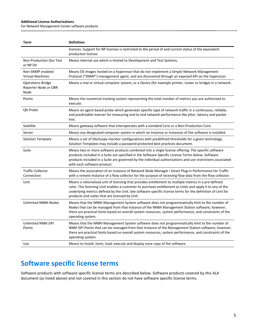For Network Management Center software products

| Term                                                     | <b>Definition</b>                                                                                                                                                                                                                                                                                                                                                                  |
|----------------------------------------------------------|------------------------------------------------------------------------------------------------------------------------------------------------------------------------------------------------------------------------------------------------------------------------------------------------------------------------------------------------------------------------------------|
|                                                          | licenses. Support for NP licenses is restricted to the period of and current status of the equivalent<br>production license.                                                                                                                                                                                                                                                       |
| Non-Production Dev Test<br>or NP DV                      | Means internal use which is limited to Development and Test Systems.                                                                                                                                                                                                                                                                                                               |
| Non-SNMP enabled<br><b>Virtual Machines</b>              | Means OS images hosted on a hypervisor that do not implement a Simple Network Management<br>Protocol ("SNMP") management agent, and are discovered through an exposed API on the hypervisor.                                                                                                                                                                                       |
| <b>Operations Bridge</b><br>Reporter Node or OBR<br>Node | Means a real or virtual computer system, or a Device (for example printer, router or bridge) in a network.                                                                                                                                                                                                                                                                         |
| Points                                                   | Means the numerical tracking system representing the total number of metrics you are authorized to<br>execute.                                                                                                                                                                                                                                                                     |
| QA Probe                                                 | Means an agent based probe which generates specific type of network traffic in a continuous, reliable,<br>and predictable manner for measuring end to end network performance like jitter, latency and packet<br>loss.                                                                                                                                                             |
| Satellite                                                | Means gateway software that interoperates with a standard Core or a Non-Production Core.                                                                                                                                                                                                                                                                                           |
| Server                                                   | Means any designated computer system in which an Instance or Instances of the software is installed.                                                                                                                                                                                                                                                                               |
| <b>Solution Template</b>                                 | Means a set of SiteScope monitor configurations with predefined thresholds for a given technology.<br>Solution Templates may include a password-protected best practices document.                                                                                                                                                                                                 |
| Suite                                                    | Means two or more software products combined into a single license offering. The specific software<br>products included in a Suite are specified in the Software Specific License Terms below. Software<br>products included in a Suite are governed by the individual authorizations and use restrictions associated<br>with each software product.                               |
| <b>Traffic Collector</b><br>Connection                   | Means the association of an Instance of Network Node Manager i Smart Plug-in Performance for Traffic<br>with a remote Instance of a flow collector for the purpose of receiving flow data from the flow collector.                                                                                                                                                                 |
| Unit                                                     | Means a rationalized unit of licensing that provides entitlement to multiple metrics in a pre-defined<br>ratio. This licensing Unit enables a customer to purchase entitlement as Units and apply it to any of the<br>underlying metrics defined by the Unit. See software specific license terms for the definition of Unit for<br>products and suites that are licensed by Unit. |
| Unlimited NNMi Nodes                                     | Means that the NNMi Management System software does not programmatically limit to the number of<br>Nodes that can be managed from that Instance of the NNMi Management Station software; however,<br>there are practical limits based on overall system resources, system performance, and constraints of the<br>operating system.                                                 |
| Unlimited NNM iSPI<br>Points                             | Means that the NNMi Management System software does not programmatically limit to the number of<br>NNM ISPI Points that can be managed from that Instance of the Management Station software; however,<br>there are practical limits based on overall system resources, system performance, and constraints of the<br>operating system.                                            |
| Use                                                      | Means to install, store, load, execute and display once copy of the software.                                                                                                                                                                                                                                                                                                      |

# **Software specific license terms**

Software products with software specific license terms are described below. Software products covered by this ALA document (as listed above) and not covered in this section do not have software specific license terms.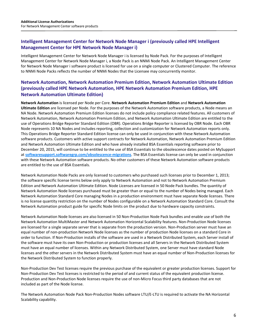## **Intelligent Management Center for Network Node Manager i (previously called HPE Intelligent Management Center for HPE Network Node Manager i)**

Intelligent Management Center for Network Node Manager i is licensed by Node Pack. For the purposes of Intelligent Management Center for Network Node Manager i, a Node Pack is an NNMi Node Pack. An Intelligent Management Center for Network Node Manager i software product is licensed for use on a single computer or Clustered Computer. The reference to NNMi Node Packs reflects the number of NNMi Nodes that the Licensee may concurrently monitor.

## **Network Automation, Network Automation Premium Edition, Network Automation Ultimate Edition (previously called HPE Network Automation, HPE Network Automation Premium Edition, HPE Network Automation Ultimate Edition)**

**Network Automation** is licensed per Node per Core. **Network Automation Premium Edition** and **Network Automation Ultimate Edition** are licensed per Node. For the purposes of the Network Automation software products, a Node means an NA Node. Network Automation Premium Edition licenses do not include policy compliance related features. All customers of Network Automation, Network Automation Premium Edition, and Network Automation Ultimate Edition are entitled to the use of Operations Bridge Reporter Standard Edition (OBR). Operations Bridge Reporter is licensed by OBR Node. Each OBR Node represents 10 NA Nodes and includes reporting, collection and customization for Network Automation reports only. This Operations Bridge Reporter Standard Edition license can only be used in conjunction with these Network Automation software products. Customers with active support contracts for Network Automation, Network Automation Premium Edition and Network Automation Ultimate Edition and who have already installed BSA Essentials reporting software prior to December 20, 2015, will continue to be entitled to the use of BSA Essentials to the obsolescence dates posted on MySupport at **[softwaresupport.softwaregrp.com/obsolescence-migrations](https://softwaresupport.softwaregrp.com/obsolescence-migrations)**. The BSA Essentials license can only be used in conjunction with these Network Automation software products. No other customers of these Network Automation software products are entitled to the use of BSA Essentials.

Network Automation Node Packs are only licensed to customers who purchased such licenses prior to December 1, 2013; the software specific license terms below only apply to Network Automation and not to Network Automation Premium Edition and Network Automation Ultimate Edition. Node Licenses are licensed in 50 Node Pack bundles. The quantity of Network Automation Node licenses purchased must be greater than or equal to the number of Nodes being managed. Each Network Automation Standard Core managing Nodes in a production environment must have separate Node licenses. There is no license quantity restriction on the number of Nodes configurable on a Network Automation Standard Core. Consult the Network Automation product guide for specific Node limits on the product due to hardware capacity constraints.

Network Automation Node licenses are also licensed in 50 Non-Production Node Pack bundles and enable use of both the Network Automation MultiMaster and Network Automation Horizontal Scalability features. Non-Production Node licenses are licensed for a single separate server that is separate from the production version. Non-Production server must have an equal number of non-production Network Node licenses as the number of production Node licenses on a standard Core in order to function. If Non-Production installs of the software are used in a Network Distributed System, each Server install of the software must have its own Non-Production or production licenses and all Servers in the Network Distributed System must have an equal number of licenses. Within any Network Distributed System, one Server must have standard Node licenses and the other servers in the Network Distributed System must have an equal number of Non-Production licenses for the Network Distributed System to function properly.

Non-Production Dev Test licenses require the previous purchase of the equivalent or greater production licenses. Support for Non-Production Dev Test licenses is restricted to the period of and current status of the equivalent production license. Production and Non-Production Node licenses require the use of non-Micro Focus third party databases that are not included as part of the Node license.

The Network Automation Node Pack Non-Production Nodes software LTU/E-LTU is required to activate the NA Horizontal Scalability capability.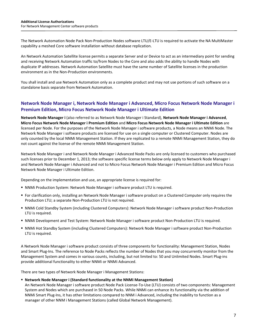The Network Automation Node Pack Non-Production Nodes software LTU/E-LTU is required to activate the NA MultiMaster capability a meshed Core software installation without database replication.

An Network Automation Satellite license permits a separate Server and or Device to act as an intermediary point for sending and receiving Network Automation traffic to/from Nodes to the Core and also adds the ability to handle Nodes with duplicate IP addresses. Network Automation Satellite must have the same number of Satellite licenses in the production environment as in the Non-Production environments.

You shall install and use Network Automation only as a complete product and may not use portions of such software on a standalone basis separate from Network Automation.

## **Network Node Manager i, Network Node Manager i Advanced, Micro Focus Network Node Manager i Premium Edition, Micro Focus Network Node Manager i Ultimate Edition**

**Network Node Manager i** (also referred to as Network Node Manager i Standard), **Network Node Manager i Advanced**, **Micro Focus Network Node Manager i Premium Edition** and **Micro Focus Network Node Manager i Ultimate Edition** are licensed per Node. For the purposes of the Network Node Manager i software products, a Node means an NNMi Node. The Network Node Manager i software products are licensed for use on a single computer or Clustered Computer. Nodes are only counted by the local NNMi Management Station. If they are replicated to a remote NNMi Management Station, they do not count against the license of the remote NNMi Management Station.

Network Node Manager i and Network Node Manager i Advanced Node Packs are only licensed to customers who purchased such licenses prior to December 1, 2013; the software specific license terms below only apply to Network Node Manager i and Network Node Manager i Advanced and not to Micro Focus Network Node Manager i Premium Edition and Micro Focus Network Node Manager i Ultimate Edition.

Depending on the implementation and use, an appropriate license is required for:

- NNMi Production System: Network Node Manager i software product LTU is required.
- For clarification only, installing an Network Node Manager i software product on a Clustered Computer only requires the Production LTU; a separate Non-Production LTU is not required.
- NNMi Cold Standby System (including Clustered Computers): Network Node Manager i software product Non-Production LTU is required.
- NNMi Development and Test System: Network Node Manager i software product Non-Production LTU is required.
- NNMi Hot Standby System (including Clustered Computers): Network Node Manager i software product Non-Production LTU is required.

A Network Node Manager i software product consists of three components for functionality: Management Station, Nodes and Smart Plug-Ins. The reference to Node Packs reflects the number of Nodes that you may concurrently monitor from the Management System and comes in various counts, including, but not limited to: 50 and Unlimited Nodes. Smart Plug-ins provide additional functionality to either NNMi or NNMi Advanced.

There are two types of Network Node Manager i Management Stations:

#### **Network Node Manager i (Standard functionality at the NNMi Management Station)**

An Network Node Manager i software product Node Pack License-To-Use (LTU) consists of two components: Management System and Nodes which are purchased in 50 Node Packs. While NNMi can enhance its functionality via the addition of NNMi Smart Plug-Ins, it has other limitations compared to NNM i Advanced, including the inability to function as a manager of other NNM i Management Stations (called Global Network Management).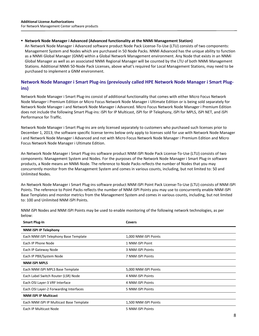#### **Network Node Manager i Advanced (Advanced functionality at the NNMi Management Station)**

An Network Node Manager i Advanced software product Node Pack License-To-Use (LTU) consists of two components: Management System and Nodes which are purchased in 50 Node Packs. NNMi Advanced has the unique ability to function as a NNMi Global Manager (GNM) within a Global Network Management environment. Any Node that exists in an NNMi Global Manager as well as an associated NNMi Regional Manager will be counted by the LTU of both NNMi Management Stations. Additional NNMi 50-Node Pack Licenses, above what's required for Local Management Stations, may need to be purchased to implement a GNM environment.

## **Network Node Manager i Smart Plug-ins (previously called HPE Network Node Manager i Smart Plugins)**

Network Node Manager i Smart Plug-ins consist of additional functionality that comes with either Micro Focus Network Node Manager i Premium Edition or Micro Focus Network Node Manager i Ultimate Edition or is being sold separately for Network Node Manager i and Network Node Manager i Advanced. Micro Focus Network Node Manager i Premium Edition does not include the following Smart Plug-ins: iSPI for IP Multicast, iSPI for IP Telephony, iSPI for MPLS, iSPI NET, and iSPI Performance for Traffic.

Network Node Manager i Smart Plug-ins are only licensed separately to customers who purchased such licenses prior to December 1, 2013; the software specific license terms below only apply to licenses sold for use with Network Node Manager i and Network Node Manager i Advanced and not with Micro Focus Network Node Manager i Premium Edition and Micro Focus Network Node Manager i Ultimate Edition.

An Network Node Manager i Smart Plug-ins software product NNM iSPI Node Pack License-To-Use (LTU) consists of two components: Management System and Nodes. For the purposes of the Network Node Manager i Smart Plug-in software products, a Node means an NNMi Node. The reference to Node Packs reflects the number of Nodes that you may concurrently monitor from the Management System and comes in various counts, including, but not limited to: 50 and Unlimited Nodes.

An Network Node Manager i Smart Plug-ins software product NNM iSPI Point Pack License-To-Use (LTU) consists of NNM iSPI Points. The reference to Point Packs reflects the number of NNM iSPI Points you may use to concurrently enable NNM iSPI Base Templates and monitor metrics from the Management System and comes in various counts, including, but not limited to: 100 and Unlimited NNM iSPI Points.

| <b>Smart Plug-In</b>                     | <b>Covers</b>         |
|------------------------------------------|-----------------------|
| <b>NNM ISPI IP Telephony</b>             |                       |
| Each NNM ISPI Telephony Base Template    | 1,000 NNM iSPI Points |
| Each IP Phone Node                       | 1 NNM iSPI Point      |
| Each IP Gateway Node                     | 3 NNM iSPI Points     |
| Each IP PBX/System Node                  | 7 NNM iSPI Points     |
| <b>NNM ISPI MPLS</b>                     |                       |
| Each NNM ISPI MPLS Base Template         | 5,000 NNM iSPI Points |
| Each Label Switch Router (LSR) Node      | 4 NNM iSPI Points     |
| Each OSI Layer-3 VRF Interface           | 4 NNM iSPI Points     |
| Each OSI Layer-2 Forwarding Interfaces   | 5 NNM iSPI Points     |
| <b>NNM ISPI IP Multicast</b>             |                       |
| Each NNM ISPI IP Multicast Base Template | 1,500 NNM iSPI Points |
| Each IP Multicast Node                   | 5 NNM iSPI Points     |

NNM iSPI Nodes and NNM iSPI Points may be used to enable monitoring of the following network technologies, as per below: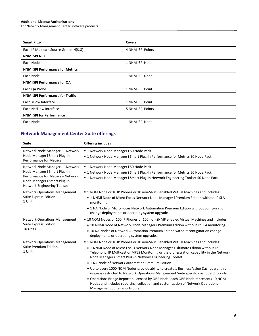For Network Management Center software products

| <b>Smart Plug-In</b>                    | <b>Covers</b>     |
|-----------------------------------------|-------------------|
| Each IP Multicast Source Group, N(S,G)  | 4 NNM iSPI Points |
| <b>NNM ISPI NET</b>                     |                   |
| Each Node                               | 1 NNM iSPI Node   |
| <b>NNM ISPI Performance for Metrics</b> |                   |
| Each Node                               | 1 NNM iSPI Node   |
| NNM ISPI Performance for QA             |                   |
| Each QA Probe                           | 1 NNM iSPI Point  |
| NNM ISPI Performance for Traffic        |                   |
| Each sFlow Interface                    | 1 NNM iSPI Point  |
| Each NetFlow Interface                  | 5 NNM iSPI Points |
| <b>NNM ISPI for Performance</b>         |                   |
| Each Node                               | 1 NNM iSPI Node   |

## **Network Management Center Suite offerings**

| <b>Suite</b>                                                                                                                                                         | <b>Offering includes</b>                                                                                                                                                                                                                                                                                                                                                                                                                                                                                                                                                                                                                                                                                                                                                                      |
|----------------------------------------------------------------------------------------------------------------------------------------------------------------------|-----------------------------------------------------------------------------------------------------------------------------------------------------------------------------------------------------------------------------------------------------------------------------------------------------------------------------------------------------------------------------------------------------------------------------------------------------------------------------------------------------------------------------------------------------------------------------------------------------------------------------------------------------------------------------------------------------------------------------------------------------------------------------------------------|
| Network Node Manager i + Network<br>Node Manager i Smart Plug-In<br><b>Performance for Metrics</b>                                                                   | ■ 1 Network Node Manager i 50 Node Pack<br>■ 1 Network Node Manager i Smart Plug-In Performance for Metrics 50 Node Pack                                                                                                                                                                                                                                                                                                                                                                                                                                                                                                                                                                                                                                                                      |
| Network Node Manager i + Network<br>Node Manager i Smart Plug-In<br>Performance for Metrics + Network<br>Node Manager i Smart Plug-In<br>Network Engineering Toolset | ■ 1 Network Node Manager i 50 Node Pack<br>■ 1 Network Node Manager i Smart Plug-In Performance for Metrics 50 Node Pack<br>" 1 Network Node Manager i Smart Plug-In Network Engineering Toolset 50 Node Pack                                                                                                                                                                                                                                                                                                                                                                                                                                                                                                                                                                                 |
| <b>Network Operations Management</b><br><b>Suite Express Edition</b><br>1 Unit                                                                                       | • 1 NOM Node or 10 IP Phones or 10 non-SNMP enabled Virtual Machines and includes:<br>. 1 NNMi Node of Micro Focus Network Node Manager i Premium Edition without IP SLA<br>monitoring<br>• 1 NA Node of Micro Focus Network Automation Premium Edition without configuration<br>change deployments or operating system upgrades.                                                                                                                                                                                                                                                                                                                                                                                                                                                             |
| <b>Network Operations Management</b><br><b>Suite Express Edition</b><br>10 Units                                                                                     | • 10 NOM Nodes or 100 IP Phones or 100 non-SNMP enabled Virtual Machines and includes:<br>• 10 NNMi Node of Network Node Manager i Premium Edition without IP SLA monitoring<br>. 10 NA Nodes of Network Automation Premium Edition without configuration change<br>deployments or operating system upgrades.                                                                                                                                                                                                                                                                                                                                                                                                                                                                                 |
| <b>Network Operations Management</b><br><b>Suite Premium Edition</b><br>1 Unit                                                                                       | <b>. 1 NOM Node or 10 IP Phones or 10 non-SNMP enabled Virtual Machines and includes:</b><br>. 1 NNMi Node of Micro Focus Network Node Manager i Ultimate Edition without IP<br>Telephony, IP Multicast or MPLS Monitoring or the orchestration capability in the Network<br>Node Manager i Smart Plug-In Network Engineering Toolset.<br>• 1 NA Node of Network Automation Premium Edition<br>• Up to every 1000 NOM Nodes provide ability to create 1 Business Value Dashboard; this<br>usage is restricted to Network Operations Management Suite specific dashboarding only.<br>• Operations Bridge Reporter, licensed by OBR Node; each OBR Node represents 10 NOM<br>Nodes and includes reporting, collection and customization of Network Operations<br>Management Suite reports only. |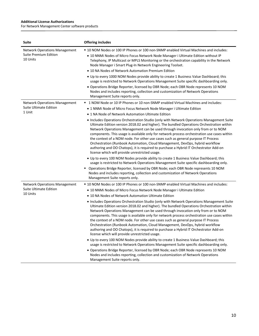For Network Management Center software products

| <b>Suite</b>                                                                      | <b>Offering includes</b>                                                                                                                                                                                                                                                                                                                                                                                                                                                                                                                                                                                                                                                                  |
|-----------------------------------------------------------------------------------|-------------------------------------------------------------------------------------------------------------------------------------------------------------------------------------------------------------------------------------------------------------------------------------------------------------------------------------------------------------------------------------------------------------------------------------------------------------------------------------------------------------------------------------------------------------------------------------------------------------------------------------------------------------------------------------------|
| <b>Network Operations Management</b><br>Suite Premium Edition<br>10 Units         | " 10 NOM Nodes or 100 IP Phones or 100 non-SNMP enabled Virtual Machines and includes:<br>. 10 NNMi Nodes of Micro Focus Network Node Manager i Ultimate Edition without IP<br>Telephony, IP Multicast or MPLS Monitoring or the orchestration capability in the Network<br>Node Manager i Smart Plug-In Network Engineering Toolset.<br>• 10 NA Nodes of Network Automation Premium Edition<br>. Up to every 1000 NOM Nodes provide ability to create 1 Business Value Dashboard; this<br>usage is restricted to Network Operations Management Suite specific dashboarding only.<br>. Operations Bridge Reporter, licensed by OBR Node; each OBR Node represents 10 NOM                  |
|                                                                                   | Nodes and includes reporting, collection and customization of Network Operations<br>Management Suite reports only.                                                                                                                                                                                                                                                                                                                                                                                                                                                                                                                                                                        |
| <b>Network Operations Management</b><br><b>Suite Ultimate Edition</b><br>1 Unit   | ■ 1 NOM Node or 10 IP Phones or 10 non-SNMP enabled Virtual Machines and includes:<br>• 1 NNMi Node of Micro Focus Network Node Manager i Ultimate Edition<br>• 1 NA Node of Network Automation Ultimate Edition                                                                                                                                                                                                                                                                                                                                                                                                                                                                          |
|                                                                                   | • Includes Operations Orchestration Studio (only with Network Operations Management Suite<br>Ultimate Edition version 2018.02 and higher). The bundled Operations Orchestration within<br>Network Operations Management can be used through invocation only from or to NOM<br>components. This usage is available only for network process orchestration use cases within<br>the context of a NOM node. For other use cases such as general purpose IT Process<br>Orchestration (Runbook Automation, Cloud Management, DevOps, hybrid workflow<br>authoring and OO Chatops), it is required to purchase a Hybrid IT Orchestrator Add-on<br>license which will provide unrestricted usage. |
|                                                                                   | . Up to every 100 NOM Nodes provide ability to create 1 Business Value Dashboard; this<br>usage is restricted to Network Operations Management Suite specific dashboarding only.<br>Operations Bridge Reporter, licensed by OBR Node; each OBR Node represents 10 NOM<br>Nodes and includes reporting, collection and customization of Network Operations                                                                                                                                                                                                                                                                                                                                 |
|                                                                                   | Management Suite reports only.                                                                                                                                                                                                                                                                                                                                                                                                                                                                                                                                                                                                                                                            |
| <b>Network Operations Management</b><br><b>Suite Ultimate Edition</b><br>10 Units | ■ 10 NOM Nodes or 100 IP Phones or 100 non-SNMP enabled Virtual Machines and includes:<br>• 10 NNMi Nodes of Micro Focus Network Node Manager i Ultimate Edition<br>• 10 NA Nodes of Network Automation Ultimate Edition                                                                                                                                                                                                                                                                                                                                                                                                                                                                  |
|                                                                                   | • Includes Operations Orchestration Studio (only with Network Operations Management Suite<br>Ultimate Edition version 2018.02 and higher). The bundled Operations Orchestration within<br>Network Operations Management can be used through invocation only from or to NOM<br>components. This usage is available only for network process orchestration use cases within<br>the context of a NOM node. For other use cases such as general purpose IT Process<br>Orchestration (Runbook Automation, Cloud Management, DevOps, hybrid workflow<br>authoring and OO Chatops), it is required to purchase a Hybrid IT Orchestrator Add-on<br>license which will provide unrestricted usage. |
|                                                                                   | . Up to every 100 NOM Nodes provide ability to create 1 Business Value Dashboard; this<br>usage is restricted to Network Operations Management Suite specific dashboarding only.<br>· Operations Bridge Reporter, licensed by OBR Node; each OBR Node represents 10 NOM<br>Nodes and includes reporting, collection and customization of Network Operations<br>Management Suite reports only.                                                                                                                                                                                                                                                                                             |